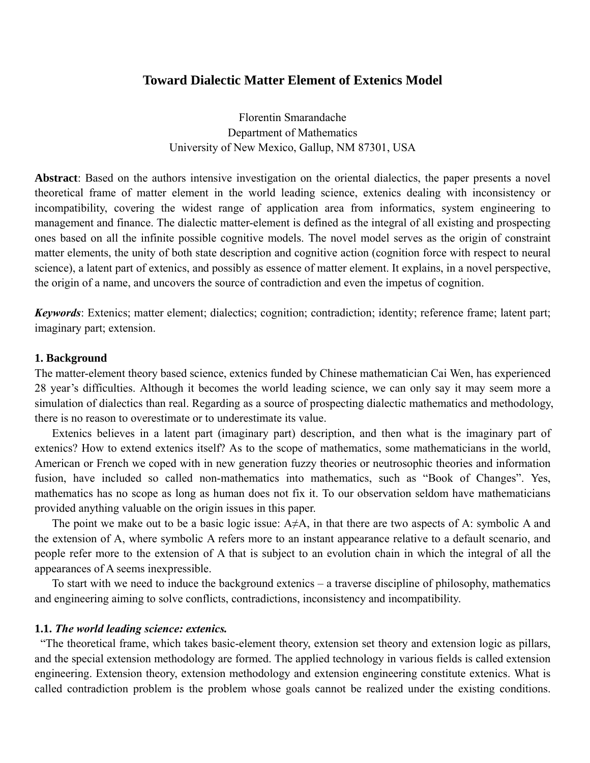# **Toward Dialectic Matter Element of Extenics Model**

Florentin Smarandache Department of Mathematics University of New Mexico, Gallup, NM 87301, USA

**Abstract**: Based on the authors intensive investigation on the oriental dialectics, the paper presents a novel theoretical frame of matter element in the world leading science, extenics dealing with inconsistency or incompatibility, covering the widest range of application area from informatics, system engineering to management and finance. The dialectic matter-element is defined as the integral of all existing and prospecting ones based on all the infinite possible cognitive models. The novel model serves as the origin of constraint matter elements, the unity of both state description and cognitive action (cognition force with respect to neural science), a latent part of extenics, and possibly as essence of matter element. It explains, in a novel perspective, the origin of a name, and uncovers the source of contradiction and even the impetus of cognition.

*Keywords*: Extenics; matter element; dialectics; cognition; contradiction; identity; reference frame; latent part; imaginary part; extension.

### **1. Background**

The matter-element theory based science, extenics funded by Chinese mathematician Cai Wen, has experienced 28 year's difficulties. Although it becomes the world leading science, we can only say it may seem more a simulation of dialectics than real. Regarding as a source of prospecting dialectic mathematics and methodology, there is no reason to overestimate or to underestimate its value.

Extenics believes in a latent part (imaginary part) description, and then what is the imaginary part of extenics? How to extend extenics itself? As to the scope of mathematics, some mathematicians in the world, American or French we coped with in new generation fuzzy theories or neutrosophic theories and information fusion, have included so called non-mathematics into mathematics, such as "Book of Changes". Yes, mathematics has no scope as long as human does not fix it. To our observation seldom have mathematicians provided anything valuable on the origin issues in this paper.

The point we make out to be a basic logic issue:  $A \neq A$ , in that there are two aspects of A: symbolic A and the extension of A, where symbolic A refers more to an instant appearance relative to a default scenario, and people refer more to the extension of A that is subject to an evolution chain in which the integral of all the appearances of A seems inexpressible.

To start with we need to induce the background extenics – a traverse discipline of philosophy, mathematics and engineering aiming to solve conflicts, contradictions, inconsistency and incompatibility.

### **1.1.** *The world leading science: extenics.*

 "The theoretical frame, which takes basic-element theory, extension set theory and extension logic as pillars, and the special extension methodology are formed. The applied technology in various fields is called extension engineering. Extension theory, extension methodology and extension engineering constitute extenics. What is called contradiction problem is the problem whose goals cannot be realized under the existing conditions.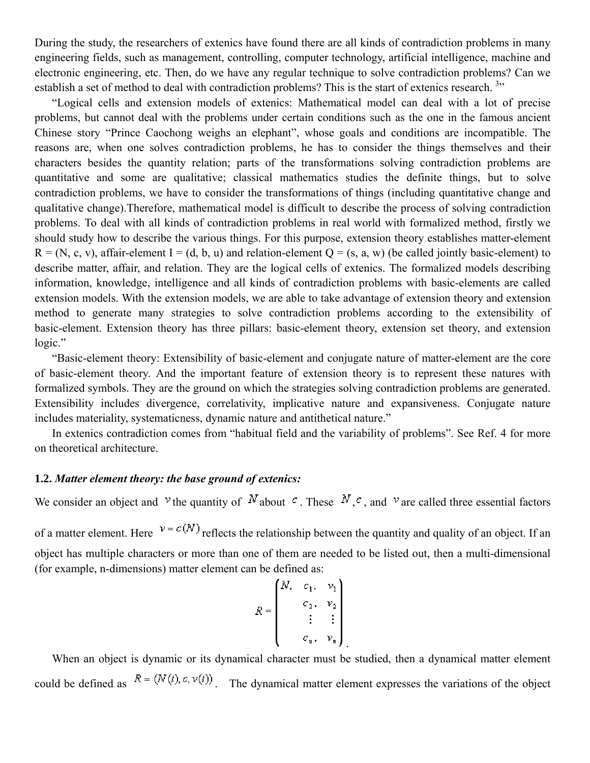During the study, the researchers of extenics have found there are all kinds of contradiction problems in many engineering fields, such as management, controlling, computer technology, artificial intelligence, machine and electronic engineering, etc. Then, do we have any regular technique to solve contradiction problems? Can we establish a set of method to deal with contradiction problems? This is the start of extenics research.<sup>3</sup><sup>35</sup>

"Logical cells and extension models of extenics: Mathematical model can deal with a lot of precise problems, but cannot deal with the problems under certain conditions such as the one in the famous ancient Chinese story "Prince Caochong weighs an elephant", whose goals and conditions are incompatible. The reasons are, when one solves contradiction problems, he has to consider the things themselves and their characters besides the quantity relation; parts of the transformations solving contradiction problems are quantitative and some are qualitative; classical mathematics studies the definite things, but to solve contradiction problems, we have to consider the transformations of things (including quantitative change and qualitative change).Therefore, mathematical model is difficult to describe the process of solving contradiction problems. To deal with all kinds of contradiction problems in real world with formalized method, firstly we should study how to describe the various things. For this purpose, extension theory establishes matter-element  $R = (N, c, v)$ , affair-element I = (d, b, u) and relation-element Q = (s, a, w) (be called jointly basic-element) to describe matter, affair, and relation. They are the logical cells of extenics. The formalized models describing information, knowledge, intelligence and all kinds of contradiction problems with basic-elements are called extension models. With the extension models, we are able to take advantage of extension theory and extension method to generate many strategies to solve contradiction problems according to the extensibility of basic-element. Extension theory has three pillars: basic-element theory, extension set theory, and extension logic."

"Basic-element theory: Extensibility of basic-element and conjugate nature of matter-element are the core of basic-element theory. And the important feature of extension theory is to represent these natures with formalized symbols. They are the ground on which the strategies solving contradiction problems are generated. Extensibility includes divergence, correlativity, implicative nature and expansiveness. Conjugate nature includes materiality, systematicness, dynamic nature and antithetical nature."

In extenics contradiction comes from "habitual field and the variability of problems". See Ref. 4 for more on theoretical architecture.

## **1.2.** *Matter element theory: the base ground of extenics:*

We consider an object and  $v$  the quantity of  $N$  about  $c$ . These  $N_c$ , and  $v$  are called three essential factors

of a matter element. Here  $v = c(N)$  reflects the relationship between the quantity and quality of an object. If an object has multiple characters or more than one of them are needed to be listed out, then a multi-dimensional (for example, n-dimensions) matter element can be defined as:

$$
R = \begin{pmatrix} N, & c_1, & v_1 \\ & c_2, & v_2 \\ & & \vdots & \vdots \\ & & & c_n, & v_n \end{pmatrix}
$$

.

When an object is dynamic or its dynamical character must be studied, then a dynamical matter element could be defined as  $R = (N(t), c, v(t))$ . The dynamical matter element expresses the variations of the object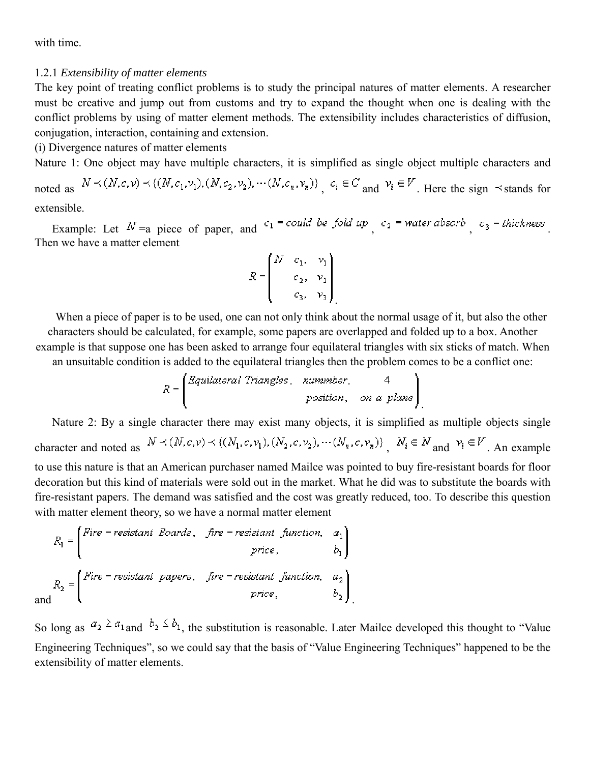with time.

### 1.2.1 *Extensibility of matter elements*

The key point of treating conflict problems is to study the principal natures of matter elements. A researcher must be creative and jump out from customs and try to expand the thought when one is dealing with the conflict problems by using of matter element methods. The extensibility includes characteristics of diffusion, conjugation, interaction, containing and extension.

### (i) Divergence natures of matter elements

Nature 1: One object may have multiple characters, it is simplified as single object multiple characters and

noted as  $N \prec (N, c, \nu) \prec ((N, c_1, \nu_1), (N, c_2, \nu_2), \cdots (N, c_n, \nu_n))$   $c_i \in C$  and  $\nu_i \in V$ . Here the sign  $\prec$  stands for extensible.

Example: Let  $N =$ a piece of paper, and  $c_1 =$  could be fold up  $c_2 =$  water absorb  $c_3 =$  thickness. Then we have a matter element

$$
R = \begin{pmatrix} N & c_1, & v_1 \\ & c_2, & v_2 \\ & & c_3, & v_3 \end{pmatrix}
$$

When a piece of paper is to be used, one can not only think about the normal usage of it, but also the other characters should be calculated, for example, some papers are overlapped and folded up to a box. Another example is that suppose one has been asked to arrange four equilateral triangles with six sticks of match. When an unsuitable condition is added to the equilateral triangles then the problem comes to be a conflict one:

$$
R = \begin{pmatrix} Equilateral \text{ Triangles}, & number, & 4 \\ & position, & on a \text{ plane} \end{pmatrix}.
$$

Nature 2: By a single character there may exist many objects, it is simplified as multiple objects single character and noted as  $N \prec (N, c, \nu) \prec ((N_1, c, \nu_1), (N_2, c, \nu_2), \cdots (N_n, c, \nu_n))$   $N_i \in N$  and  $\nu_i \in V$ . An example to use this nature is that an American purchaser named Mailce was pointed to buy fire-resistant boards for floor decoration but this kind of materials were sold out in the market. What he did was to substitute the boards with fire-resistant papers. The demand was satisfied and the cost was greatly reduced, too. To describe this question with matter element theory, so we have a normal matter element

$$
R_1 = \begin{pmatrix} \text{Fire} - \text{resistant } \text{Boards}, & \text{fire} - \text{resistant function}, & a_1 \\ & & \text{price}, & b_1 \end{pmatrix}
$$

$$
R_2 = \begin{pmatrix} \text{Fire} - \text{resistant } \text{ papers}, & \text{fire} - \text{resistant } \text{function}, & a_2 \\ & & \text{price}, & b_2 \end{pmatrix}
$$
and

So long as  $a_2 \ge a_1$  and  $b_2 \le b_1$ , the substitution is reasonable. Later Mailce developed this thought to "Value" Engineering Techniques", so we could say that the basis of "Value Engineering Techniques" happened to be the extensibility of matter elements.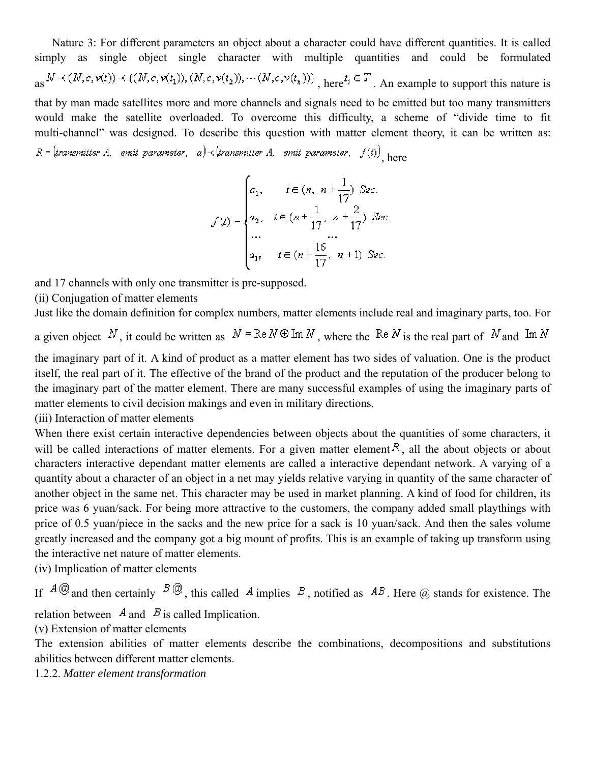Nature 3: For different parameters an object about a character could have different quantities. It is called simply as single object single character with multiple quantities and could be formulated as  $N \prec (N, c, v(t)) \prec ((N, c, v(t_1)), (N, c, v(t_2)), \cdots (N, c, v(t_n)))$ , here  $t_i \in T$ . An example to support this nature is that by man made satellites more and more channels and signals need to be emitted but too many transmitters would make the satellite overloaded. To overcome this difficulty, a scheme of "divide time to fit multi-channel" was designed. To describe this question with matter element theory, it can be written as:  $R = (transmitter \ A,$  emit parameter, a)  $\prec$  (transmitter A, emit parameter,  $f(t)$ ) here

$$
f(t) = \begin{cases} a_1, & t \in (n, n + \frac{1}{17}) \text{ Sec.} \\ a_2, & t \in (n + \frac{1}{17}, n + \frac{2}{17}) \text{ Sec.} \\ \cdots & \cdots \\ a_{17} & t \in (n + \frac{16}{17}, n + 1) \text{ Sec.} \end{cases}
$$

and 17 channels with only one transmitter is pre-supposed.

(ii) Conjugation of matter elements

Just like the domain definition for complex numbers, matter elements include real and imaginary parts, too. For a given object N, it could be written as  $N = \text{Re } N \oplus \text{Im } N$ , where the  $\text{Re } N$  is the real part of N and Im N

the imaginary part of it. A kind of product as a matter element has two sides of valuation. One is the product itself, the real part of it. The effective of the brand of the product and the reputation of the producer belong to the imaginary part of the matter element. There are many successful examples of using the imaginary parts of matter elements to civil decision makings and even in military directions.

(iii) Interaction of matter elements

When there exist certain interactive dependencies between objects about the quantities of some characters, it will be called interactions of matter elements. For a given matter element  $\mathcal{R}$ , all the about objects or about characters interactive dependant matter elements are called a interactive dependant network. A varying of a quantity about a character of an object in a net may yields relative varying in quantity of the same character of another object in the same net. This character may be used in market planning. A kind of food for children, its price was 6 yuan/sack. For being more attractive to the customers, the company added small playthings with price of 0.5 yuan/piece in the sacks and the new price for a sack is 10 yuan/sack. And then the sales volume greatly increased and the company got a big mount of profits. This is an example of taking up transform using the interactive net nature of matter elements.

(iv) Implication of matter elements

If  $A\textcircled{a}$  and then certainly  $B\textcircled{a}$ , this called A implies B, notified as  $AB$ . Here  $\textcircled{a}$  stands for existence. The

relation between  $A$  and  $B$  is called Implication.

(v) Extension of matter elements

The extension abilities of matter elements describe the combinations, decompositions and substitutions abilities between different matter elements.

1.2.2. *Matter element transformation*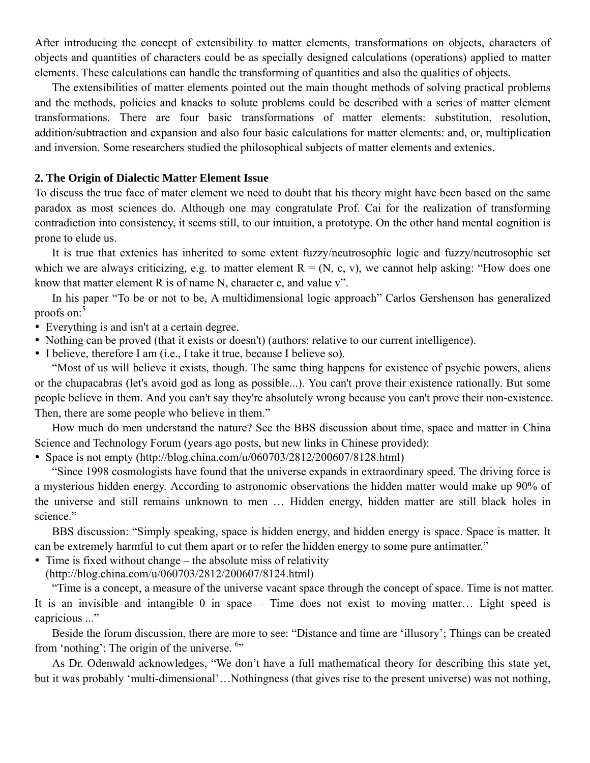After introducing the concept of extensibility to matter elements, transformations on objects, characters of objects and quantities of characters could be as specially designed calculations (operations) applied to matter elements. These calculations can handle the transforming of quantities and also the qualities of objects.

The extensibilities of matter elements pointed out the main thought methods of solving practical problems and the methods, policies and knacks to solute problems could be described with a series of matter element transformations. There are four basic transformations of matter elements: substitution, resolution, addition/subtraction and expansion and also four basic calculations for matter elements: and, or, multiplication and inversion. Some researchers studied the philosophical subjects of matter elements and extenics.

### **2. The Origin of Dialectic Matter Element Issue**

To discuss the true face of mater element we need to doubt that his theory might have been based on the same paradox as most sciences do. Although one may congratulate Prof. Cai for the realization of transforming contradiction into consistency, it seems still, to our intuition, a prototype. On the other hand mental cognition is prone to elude us.

It is true that extenics has inherited to some extent fuzzy/neutrosophic logic and fuzzy/neutrosophic set which we are always criticizing, e.g. to matter element  $R = (N, c, v)$ , we cannot help asking: "How does one know that matter element R is of name N, character c, and value v".

In his paper "To be or not to be, A multidimensional logic approach" Carlos Gershenson has generalized proofs on: $5$ 

- Everything is and isn't at a certain degree.
- Nothing can be proved (that it exists or doesn't) (authors: relative to our current intelligence).
- I believe, therefore I am (i.e., I take it true, because I believe so).

"Most of us will believe it exists, though. The same thing happens for existence of psychic powers, aliens or the chupacabras (let's avoid god as long as possible...). You can't prove their existence rationally. But some people believe in them. And you can't say they're absolutely wrong because you can't prove their non-existence. Then, there are some people who believe in them."

How much do men understand the nature? See the BBS discussion about time, space and matter in China Science and Technology Forum (years ago posts, but new links in Chinese provided):

• Space is not empty (http://blog.china.com/u/060703/2812/200607/8128.html)

"Since 1998 cosmologists have found that the universe expands in extraordinary speed. The driving force is a mysterious hidden energy. According to astronomic observations the hidden matter would make up 90% of the universe and still remains unknown to men … Hidden energy, hidden matter are still black holes in science."

BBS discussion: "Simply speaking, space is hidden energy, and hidden energy is space. Space is matter. It can be extremely harmful to cut them apart or to refer the hidden energy to some pure antimatter."

 $\bullet$  Time is fixed without change – the absolute miss of relativity

(http://blog.china.com/u/060703/2812/200607/8124.html)

"Time is a concept, a measure of the universe vacant space through the concept of space. Time is not matter. It is an invisible and intangible 0 in space – Time does not exist to moving matter… Light speed is capricious ..."

Beside the forum discussion, there are more to see: "Distance and time are 'illusory'; Things can be created from 'nothing'; The origin of the universe. <sup>6</sup><sup>55</sup>

As Dr. Odenwald acknowledges, "We don't have a full mathematical theory for describing this state yet, but it was probably 'multi-dimensional'…Nothingness (that gives rise to the present universe) was not nothing,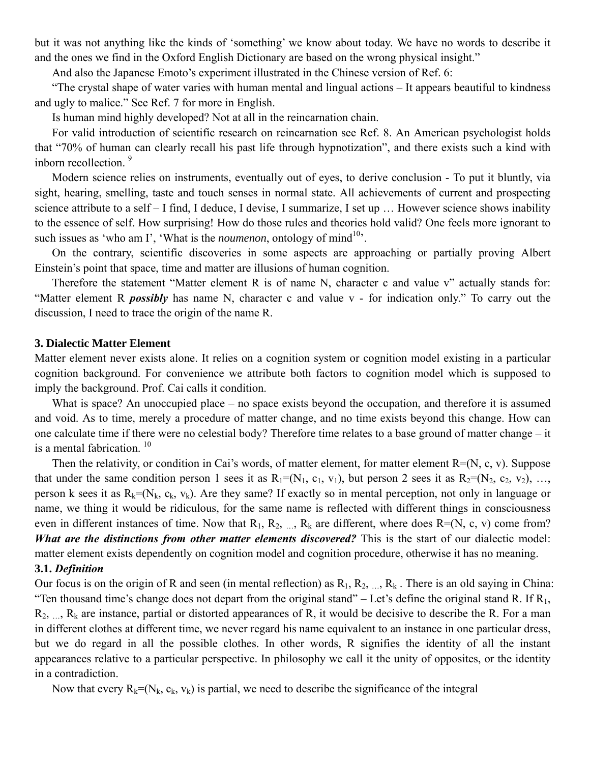but it was not anything like the kinds of 'something' we know about today. We have no words to describe it and the ones we find in the Oxford English Dictionary are based on the wrong physical insight."

And also the Japanese Emoto's experiment illustrated in the Chinese version of Ref. 6:

"The crystal shape of water varies with human mental and lingual actions – It appears beautiful to kindness and ugly to malice." See Ref. 7 for more in English.

Is human mind highly developed? Not at all in the reincarnation chain.

For valid introduction of scientific research on reincarnation see Ref. 8. An American psychologist holds that "70% of human can clearly recall his past life through hypnotization", and there exists such a kind with inborn recollection.<sup>9</sup>

Modern science relies on instruments, eventually out of eyes, to derive conclusion - To put it bluntly, via sight, hearing, smelling, taste and touch senses in normal state. All achievements of current and prospecting science attribute to a self – I find, I deduce, I devise, I summarize, I set up ... However science shows inability to the essence of self. How surprising! How do those rules and theories hold valid? One feels more ignorant to such issues as 'who am I', 'What is the *noumenon*, ontology of mind<sup>10</sup>.

On the contrary, scientific discoveries in some aspects are approaching or partially proving Albert Einstein's point that space, time and matter are illusions of human cognition.

Therefore the statement "Matter element R is of name N, character c and value v" actually stands for: "Matter element R *possibly* has name N, character c and value v - for indication only." To carry out the discussion, I need to trace the origin of the name R.

### **3. Dialectic Matter Element**

Matter element never exists alone. It relies on a cognition system or cognition model existing in a particular cognition background. For convenience we attribute both factors to cognition model which is supposed to imply the background. Prof. Cai calls it condition.

What is space? An unoccupied place – no space exists beyond the occupation, and therefore it is assumed and void. As to time, merely a procedure of matter change, and no time exists beyond this change. How can one calculate time if there were no celestial body? Therefore time relates to a base ground of matter change – it is a mental fabrication.  $10$ 

Then the relativity, or condition in Cai's words, of matter element, for matter element  $R=(N, c, v)$ . Suppose that under the same condition person 1 sees it as  $R_1=(N_1, c_1, v_1)$ , but person 2 sees it as  $R_2=(N_2, c_2, v_2)$ , ... person k sees it as  $R_k=(N_k, c_k, v_k)$ . Are they same? If exactly so in mental perception, not only in language or name, we thing it would be ridiculous, for the same name is reflected with different things in consciousness even in different instances of time. Now that  $R_1, R_2, \ldots, R_k$  are different, where does  $R=(N, c, v)$  come from? *What are the distinctions from other matter elements discovered?* This is the start of our dialectic model: matter element exists dependently on cognition model and cognition procedure, otherwise it has no meaning.

# **3.1.** *Definition*

Our focus is on the origin of R and seen (in mental reflection) as  $R_1, R_2, \ldots, R_k$ . There is an old saying in China: "Ten thousand time's change does not depart from the original stand" – Let's define the original stand R. If  $R_1$ ,  $R_2, \ldots, R_k$  are instance, partial or distorted appearances of R, it would be decisive to describe the R. For a man in different clothes at different time, we never regard his name equivalent to an instance in one particular dress, but we do regard in all the possible clothes. In other words, R signifies the identity of all the instant appearances relative to a particular perspective. In philosophy we call it the unity of opposites, or the identity in a contradiction.

Now that every  $R_k=(N_k, c_k, v_k)$  is partial, we need to describe the significance of the integral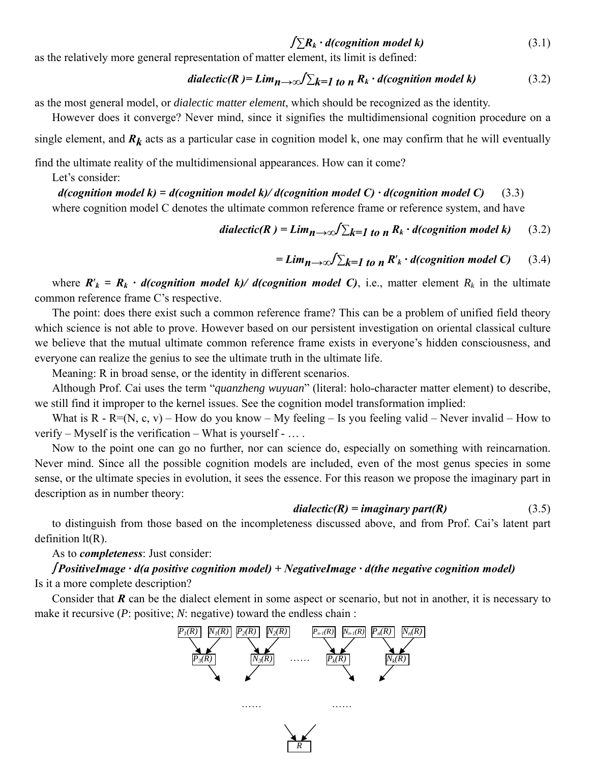# $\int \sum R_k \cdot d(cognition \ model \ k)$  (3.1)

as the relatively more general representation of matter element, its limit is defined:

# $dialectic(R) = Lim_{n\rightarrow\infty}$  $\sum_{k=1}^{n}$  to n  $R_k \cdot d(cognition \ model \ k)$  (3.2)

as the most general model, or *dialectic matter element*, which should be recognized as the identity.

However does it converge? Never mind, since it signifies the multidimensional cognition procedure on a

single element, and  $R_k$  acts as a particular case in cognition model k, one may confirm that he will eventually

find the ultimate reality of the multidimensional appearances. How can it come?

Let's consider:

 $d(cognition model k) = d(cognition model k) / d(cognition model C) · d(cognition model C)$  (3.3)

where cognition model C denotes the ultimate common reference frame or reference system, and have

$$
dialectic(R) = Lim_{n\rightarrow\infty} \sum_{k=1}^{n} to n R_k \cdot d(cognition model k) \qquad (3.2)
$$

$$
= Lim_{n\rightarrow\infty}\sum_{k=1 \text{ to } n} R'_{k} \cdot d(cognition \text{ model } C) \qquad (3.4)
$$

where  $R'_{k} = R_{k} \cdot d(cognition \ model \ k) / d(cognition \ model \ C)$ , i.e., matter element  $R_{k}$  in the ultimate common reference frame C's respective.

The point: does there exist such a common reference frame? This can be a problem of unified field theory which science is not able to prove. However based on our persistent investigation on oriental classical culture we believe that the mutual ultimate common reference frame exists in everyone's hidden consciousness, and everyone can realize the genius to see the ultimate truth in the ultimate life.

Meaning: R in broad sense, or the identity in different scenarios.

Although Prof. Cai uses the term "*quanzheng wuyuan*" (literal: holo-character matter element) to describe, we still find it improper to the kernel issues. See the cognition model transformation implied:

What is R - R=(N, c, v) – How do you know – My feeling – Is you feeling valid – Never invalid – How to verify – Myself is the verification – What is yourself -  $\dots$ .

Now to the point one can go no further, nor can science do, especially on something with reincarnation. Never mind. Since all the possible cognition models are included, even of the most genus species in some sense, or the ultimate species in evolution, it sees the essence. For this reason we propose the imaginary part in description as in number theory:

### $dialectic(R) = imaginary part(R)$  (3.5)

to distinguish from those based on the incompleteness discussed above, and from Prof. Cai's latent part definition  $lt(R)$ .

As to *completeness*: Just consider:

# ∫ *PositiveImage · d(a positive cognition model) + NegativeImage · d(the negative cognition model)* Is it a more complete description?

Consider that *R* can be the dialect element in some aspect or scenario, but not in another, it is necessary to make it recursive (*P*: positive; *N*: negative) toward the endless chain :

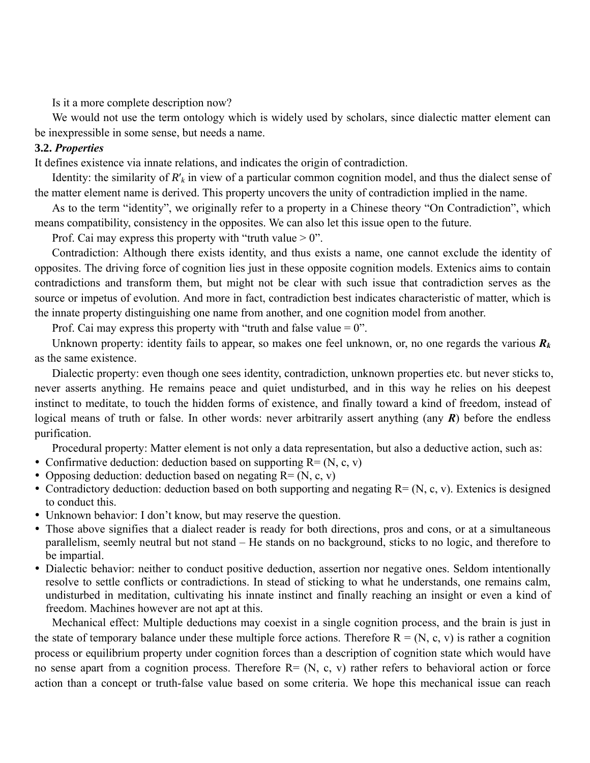Is it a more complete description now?

We would not use the term ontology which is widely used by scholars, since dialectic matter element can be inexpressible in some sense, but needs a name.

## **3.2.** *Properties*

It defines existence via innate relations, and indicates the origin of contradiction.

Identity: the similarity of *R*′*k* in view of a particular common cognition model, and thus the dialect sense of the matter element name is derived. This property uncovers the unity of contradiction implied in the name.

As to the term "identity", we originally refer to a property in a Chinese theory "On Contradiction", which means compatibility, consistency in the opposites. We can also let this issue open to the future.

Prof. Cai may express this property with "truth value  $> 0$ ".

Contradiction: Although there exists identity, and thus exists a name, one cannot exclude the identity of opposites. The driving force of cognition lies just in these opposite cognition models. Extenics aims to contain contradictions and transform them, but might not be clear with such issue that contradiction serves as the source or impetus of evolution. And more in fact, contradiction best indicates characteristic of matter, which is the innate property distinguishing one name from another, and one cognition model from another.

Prof. Cai may express this property with "truth and false value  $= 0$ ".

Unknown property: identity fails to appear, so makes one feel unknown, or, no one regards the various  $R_k$ as the same existence.

Dialectic property: even though one sees identity, contradiction, unknown properties etc. but never sticks to, never asserts anything. He remains peace and quiet undisturbed, and in this way he relies on his deepest instinct to meditate, to touch the hidden forms of existence, and finally toward a kind of freedom, instead of logical means of truth or false. In other words: never arbitrarily assert anything (any *R*) before the endless purification.

Procedural property: Matter element is not only a data representation, but also a deductive action, such as:

- Confirmative deduction: deduction based on supporting  $R = (N, c, v)$
- Opposing deduction: deduction based on negating  $R = (N, c, v)$
- Contradictory deduction: deduction based on both supporting and negating  $R = (N, c, v)$ . Extenics is designed to conduct this.
- Unknown behavior: I don't know, but may reserve the question.
- Those above signifies that a dialect reader is ready for both directions, pros and cons, or at a simultaneous parallelism, seemly neutral but not stand – He stands on no background, sticks to no logic, and therefore to be impartial.
- Dialectic behavior: neither to conduct positive deduction, assertion nor negative ones. Seldom intentionally resolve to settle conflicts or contradictions. In stead of sticking to what he understands, one remains calm, undisturbed in meditation, cultivating his innate instinct and finally reaching an insight or even a kind of freedom. Machines however are not apt at this.

Mechanical effect: Multiple deductions may coexist in a single cognition process, and the brain is just in the state of temporary balance under these multiple force actions. Therefore  $R = (N, c, v)$  is rather a cognition process or equilibrium property under cognition forces than a description of cognition state which would have no sense apart from a cognition process. Therefore  $R = (N, c, v)$  rather refers to behavioral action or force action than a concept or truth-false value based on some criteria. We hope this mechanical issue can reach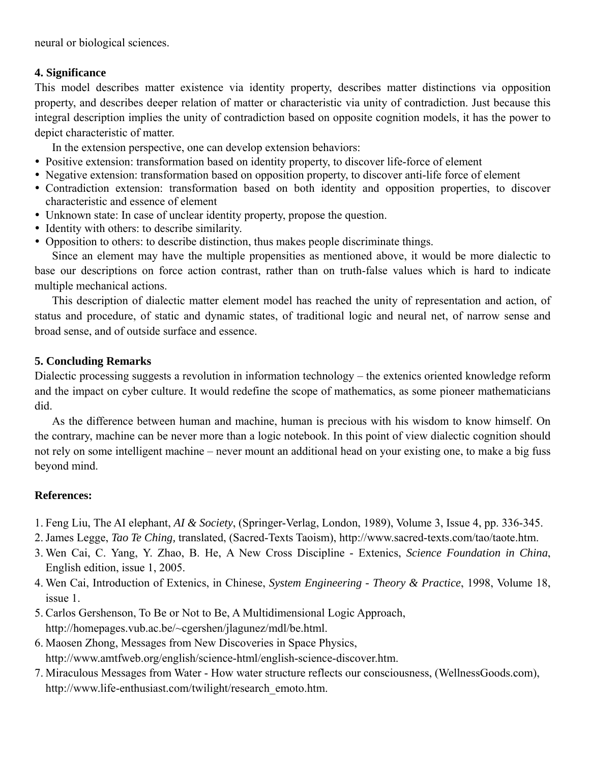neural or biological sciences.

# **4. Significance**

This model describes matter existence via identity property, describes matter distinctions via opposition property, and describes deeper relation of matter or characteristic via unity of contradiction. Just because this integral description implies the unity of contradiction based on opposite cognition models, it has the power to depict characteristic of matter.

In the extension perspective, one can develop extension behaviors:

- Positive extension: transformation based on identity property, to discover life-force of element
- Negative extension: transformation based on opposition property, to discover anti-life force of element
- y Contradiction extension: transformation based on both identity and opposition properties, to discover characteristic and essence of element
- Unknown state: In case of unclear identity property, propose the question.
- Identity with others: to describe similarity.
- Opposition to others: to describe distinction, thus makes people discriminate things.

Since an element may have the multiple propensities as mentioned above, it would be more dialectic to base our descriptions on force action contrast, rather than on truth-false values which is hard to indicate multiple mechanical actions.

This description of dialectic matter element model has reached the unity of representation and action, of status and procedure, of static and dynamic states, of traditional logic and neural net, of narrow sense and broad sense, and of outside surface and essence.

# **5. Concluding Remarks**

Dialectic processing suggests a revolution in information technology – the extenics oriented knowledge reform and the impact on cyber culture. It would redefine the scope of mathematics, as some pioneer mathematicians did.

As the difference between human and machine, human is precious with his wisdom to know himself. On the contrary, machine can be never more than a logic notebook. In this point of view dialectic cognition should not rely on some intelligent machine – never mount an additional head on your existing one, to make a big fuss beyond mind.

# **References:**

- 1. Feng Liu, The AI elephant, *AI & Society*, (Springer-Verlag, London, 1989), Volume 3, Issue 4, pp. 336-345.
- 2. James Legge, *Tao Te Ching,* translated, (Sacred-Texts Taoism), http://www.sacred-texts.com/tao/taote.htm.
- 3. Wen Cai, C. Yang, Y. Zhao, B. He, A New Cross Discipline Extenics, *Science Foundation in China*, English edition, issue 1, 2005.
- 4. Wen Cai, Introduction of Extenics, in Chinese, *System Engineering Theory & Practice*, 1998, Volume 18, issue 1.
- 5. Carlos Gershenson, To Be or Not to Be, A Multidimensional Logic Approach, http://homepages.vub.ac.be/~cgershen/jlagunez/mdl/be.html.
- 6. Maosen Zhong, Messages from New Discoveries in Space Physics, http://www.amtfweb.org/english/science-html/english-science-discover.htm.
- 7. Miraculous Messages from Water How water structure reflects our consciousness, (WellnessGoods.com), http://www.life-enthusiast.com/twilight/research\_emoto.htm.